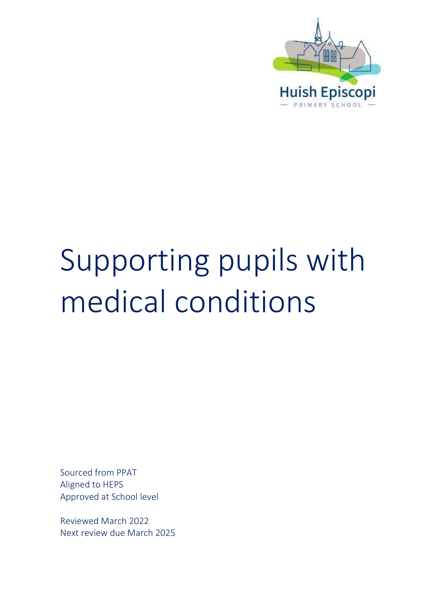

# Supporting pupils with medical conditions

Sourced from PPAT Aligned to HEPS Approved at School level

Reviewed March 2022 Next review due March 2025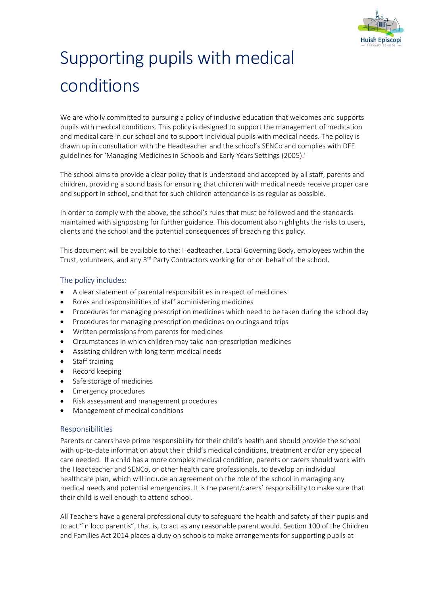

# Supporting pupils with medical conditions

We are wholly committed to pursuing a policy of inclusive education that welcomes and supports pupils with medical conditions. This policy is designed to support the management of medication and medical care in our school and to support individual pupils with medical needs. The policy is drawn up in consultation with the Headteacher and the school's SENCo and complies with DFE guidelines for 'Managing Medicines in Schools and Early Years Settings (2005).'

The school aims to provide a clear policy that is understood and accepted by all staff, parents and children, providing a sound basis for ensuring that children with medical needs receive proper care and support in school, and that for such children attendance is as regular as possible.

In order to comply with the above, the school's rules that must be followed and the standards maintained with signposting for further guidance. This document also highlights the risks to users, clients and the school and the potential consequences of breaching this policy.

This document will be available to the: Headteacher, Local Governing Body, employees within the Trust, volunteers, and any 3<sup>rd</sup> Party Contractors working for or on behalf of the school.

# The policy includes:

- A clear statement of parental responsibilities in respect of medicines
- Roles and responsibilities of staff administering medicines
- Procedures for managing prescription medicines which need to be taken during the school day
- Procedures for managing prescription medicines on outings and trips
- Written permissions from parents for medicines
- Circumstances in which children may take non-prescription medicines
- Assisting children with long term medical needs
- Staff training
- Record keeping
- Safe storage of medicines
- Emergency procedures
- Risk assessment and management procedures
- Management of medical conditions

# Responsibilities

Parents or carers have prime responsibility for their child's health and should provide the school with up-to-date information about their child's medical conditions, treatment and/or any special care needed. If a child has a more complex medical condition, parents or carers should work with the Headteacher and SENCo, or other health care professionals, to develop an individual healthcare plan, which will include an agreement on the role of the school in managing any medical needs and potential emergencies. It is the parent/carers' responsibility to make sure that their child is well enough to attend school.

All Teachers have a general professional duty to safeguard the health and safety of their pupils and to act "in loco parentis", that is, to act as any reasonable parent would. Section 100 of the Children and Families Act 2014 places a duty on schools to make arrangements for supporting pupils at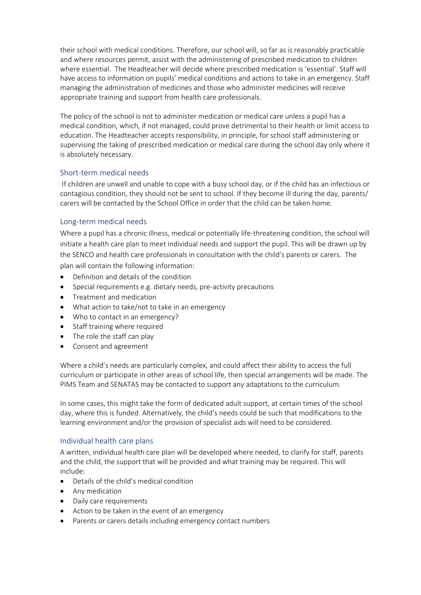their school with medical conditions. Therefore, our school will, so far as is reasonably practicable and where resources permit, assist with the administering of prescribed medication to children where essential. The Headteacher will decide where prescribed medication is 'essential'. Staff will have access to information on pupils' medical conditions and actions to take in an emergency. Staff managing the administration of medicines and those who administer medicines will receive appropriate training and support from health care professionals.

The policy of the school is not to administer medication or medical care unless a pupil has a medical condition, which, if not managed, could prove detrimental to their health or limit access to education. The Headteacher accepts responsibility, in principle, for school staff administering or supervising the taking of prescribed medication or medical care during the school day only where it is absolutely necessary.

# Short-term medical needs

 If children are unwell and unable to cope with a busy school day, or if the child has an infectious or contagious condition, they should not be sent to school. If they become ill during the day, parents/ carers will be contacted by the School Office in order that the child can be taken home.

# Long-term medical needs

Where a pupil has a chronic illness, medical or potentially life-threatening condition, the school will initiate a health care plan to meet individual needs and support the pupil. This will be drawn up by the SENCO and health care professionals in consultation with the child's parents or carers. The plan will contain the following information:

- Definition and details of the condition
- Special requirements e.g. dietary needs, pre-activity precautions
- Treatment and medication
- What action to take/not to take in an emergency
- Who to contact in an emergency?
- Staff training where required
- The role the staff can play
- Consent and agreement

Where a child's needs are particularly complex, and could affect their ability to access the full curriculum or participate in other areas of school life, then special arrangements will be made. The PIMS Team and SENATAS may be contacted to support any adaptations to the curriculum.

In some cases, this might take the form of dedicated adult support, at certain times of the school day, where this is funded. Alternatively, the child's needs could be such that modifications to the learning environment and/or the provision of specialist aids will need to be considered.

# Individual health care plans

A written, individual health care plan will be developed where needed, to clarify for staff, parents and the child, the support that will be provided and what training may be required. This will include:

- Details of the child's medical condition
- Any medication
- Daily care requirements
- Action to be taken in the event of an emergency
- Parents or carers details including emergency contact numbers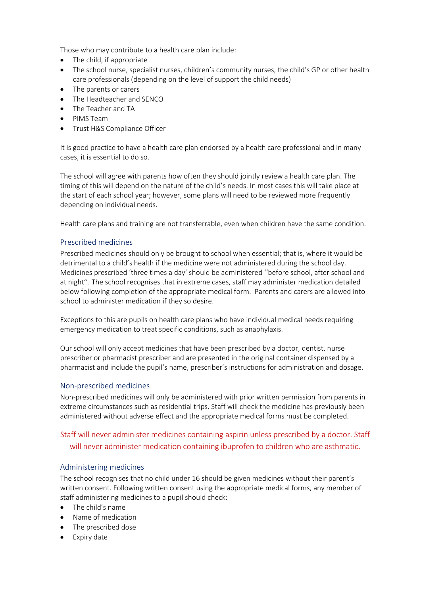Those who may contribute to a health care plan include:

- The child, if appropriate
- The school nurse, specialist nurses, children's community nurses, the child's GP or other health care professionals (depending on the level of support the child needs)
- The parents or carers
- The Headteacher and SENCO
- The Teacher and TA
- PIMS Team
- Trust H&S Compliance Officer

It is good practice to have a health care plan endorsed by a health care professional and in many cases, it is essential to do so.

The school will agree with parents how often they should jointly review a health care plan. The timing of this will depend on the nature of the child's needs. In most cases this will take place at the start of each school year; however, some plans will need to be reviewed more frequently depending on individual needs.

Health care plans and training are not transferrable, even when children have the same condition.

# Prescribed medicines

Prescribed medicines should only be brought to school when essential; that is, where it would be detrimental to a child's health if the medicine were not administered during the school day. Medicines prescribed 'three times a day' should be administered ''before school, after school and at night''. The school recognises that in extreme cases, staff may administer medication detailed below following completion of the appropriate medical form. Parents and carers are allowed into school to administer medication if they so desire.

Exceptions to this are pupils on health care plans who have individual medical needs requiring emergency medication to treat specific conditions, such as anaphylaxis.

Our school will only accept medicines that have been prescribed by a doctor, dentist, nurse prescriber or pharmacist prescriber and are presented in the original container dispensed by a pharmacist and include the pupil's name, prescriber's instructions for administration and dosage.

#### Non-prescribed medicines

Non-prescribed medicines will only be administered with prior written permission from parents in extreme circumstances such as residential trips. Staff will check the medicine has previously been administered without adverse effect and the appropriate medical forms must be completed.

# Staff will never administer medicines containing aspirin unless prescribed by a doctor. Staff will never administer medication containing ibuprofen to children who are asthmatic.

# Administering medicines

The school recognises that no child under 16 should be given medicines without their parent's written consent. Following written consent using the appropriate medical forms, any member of staff administering medicines to a pupil should check:

- The child's name
- Name of medication
- The prescribed dose
- Expiry date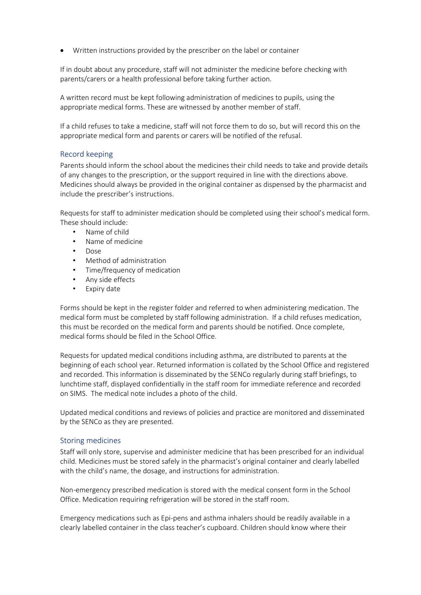• Written instructions provided by the prescriber on the label or container

If in doubt about any procedure, staff will not administer the medicine before checking with parents/carers or a health professional before taking further action.

A written record must be kept following administration of medicines to pupils, using the appropriate medical forms. These are witnessed by another member of staff.

If a child refuses to take a medicine, staff will not force them to do so, but will record this on the appropriate medical form and parents or carers will be notified of the refusal.

# Record keeping

Parents should inform the school about the medicines their child needs to take and provide details of any changes to the prescription, or the support required in line with the directions above. Medicines should always be provided in the original container as dispensed by the pharmacist and include the prescriber's instructions.

Requests for staff to administer medication should be completed using their school's medical form. These should include:

- Name of child
- Name of medicine
- Dose
- Method of administration
- Time/frequency of medication
- Any side effects
- Expiry date

Forms should be kept in the register folder and referred to when administering medication. The medical form must be completed by staff following administration. If a child refuses medication, this must be recorded on the medical form and parents should be notified. Once complete, medical forms should be filed in the School Office.

Requests for updated medical conditions including asthma, are distributed to parents at the beginning of each school year. Returned information is collated by the School Office and registered and recorded. This information is disseminated by the SENCo regularly during staff briefings, to lunchtime staff, displayed confidentially in the staff room for immediate reference and recorded on SIMS. The medical note includes a photo of the child.

Updated medical conditions and reviews of policies and practice are monitored and disseminated by the SENCo as they are presented.

#### Storing medicines

Staff will only store, supervise and administer medicine that has been prescribed for an individual child. Medicines must be stored safely in the pharmacist's original container and clearly labelled with the child's name, the dosage, and instructions for administration.

Non-emergency prescribed medication is stored with the medical consent form in the School Office. Medication requiring refrigeration will be stored in the staff room.

Emergency medications such as Epi-pens and asthma inhalers should be readily available in a clearly labelled container in the class teacher's cupboard. Children should know where their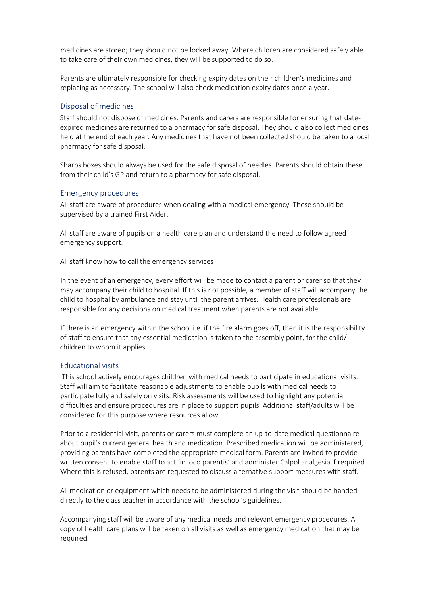medicines are stored; they should not be locked away. Where children are considered safely able to take care of their own medicines, they will be supported to do so.

Parents are ultimately responsible for checking expiry dates on their children's medicines and replacing as necessary. The school will also check medication expiry dates once a year.

# Disposal of medicines

Staff should not dispose of medicines. Parents and carers are responsible for ensuring that dateexpired medicines are returned to a pharmacy for safe disposal. They should also collect medicines held at the end of each year. Any medicines that have not been collected should be taken to a local pharmacy for safe disposal.

Sharps boxes should always be used for the safe disposal of needles. Parents should obtain these from their child's GP and return to a pharmacy for safe disposal.

# Emergency procedures

All staff are aware of procedures when dealing with a medical emergency. These should be supervised by a trained First Aider.

All staff are aware of pupils on a health care plan and understand the need to follow agreed emergency support.

All staff know how to call the emergency services

In the event of an emergency, every effort will be made to contact a parent or carer so that they may accompany their child to hospital. If this is not possible, a member of staff will accompany the child to hospital by ambulance and stay until the parent arrives. Health care professionals are responsible for any decisions on medical treatment when parents are not available.

If there is an emergency within the school i.e. if the fire alarm goes off, then it is the responsibility of staff to ensure that any essential medication is taken to the assembly point, for the child/ children to whom it applies.

#### Educational visits

 This school actively encourages children with medical needs to participate in educational visits. Staff will aim to facilitate reasonable adjustments to enable pupils with medical needs to participate fully and safely on visits. Risk assessments will be used to highlight any potential difficulties and ensure procedures are in place to support pupils. Additional staff/adults will be considered for this purpose where resources allow.

Prior to a residential visit, parents or carers must complete an up-to-date medical questionnaire about pupil's current general health and medication. Prescribed medication will be administered, providing parents have completed the appropriate medical form. Parents are invited to provide written consent to enable staff to act 'in loco parentis' and administer Calpol analgesia if required. Where this is refused, parents are requested to discuss alternative support measures with staff.

All medication or equipment which needs to be administered during the visit should be handed directly to the class teacher in accordance with the school's guidelines.

Accompanying staff will be aware of any medical needs and relevant emergency procedures. A copy of health care plans will be taken on all visits as well as emergency medication that may be required.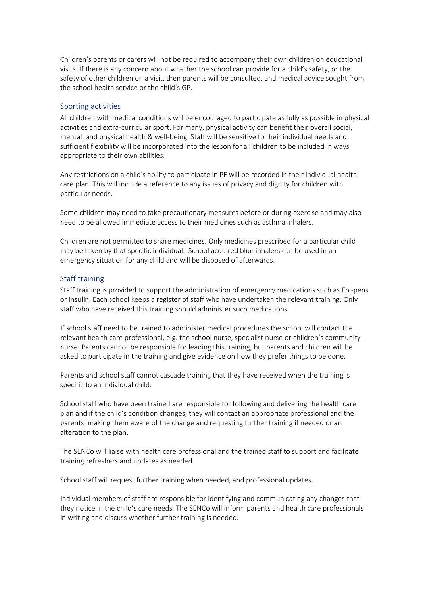Children's parents or carers will not be required to accompany their own children on educational visits. If there is any concern about whether the school can provide for a child's safety, or the safety of other children on a visit, then parents will be consulted, and medical advice sought from the school health service or the child's GP.

# Sporting activities

All children with medical conditions will be encouraged to participate as fully as possible in physical activities and extra-curricular sport. For many, physical activity can benefit their overall social, mental, and physical health & well-being. Staff will be sensitive to their individual needs and sufficient flexibility will be incorporated into the lesson for all children to be included in ways appropriate to their own abilities.

Any restrictions on a child's ability to participate in PE will be recorded in their individual health care plan. This will include a reference to any issues of privacy and dignity for children with particular needs.

Some children may need to take precautionary measures before or during exercise and may also need to be allowed immediate access to their medicines such as asthma inhalers.

Children are not permitted to share medicines. Only medicines prescribed for a particular child may be taken by that specific individual. School acquired blue inhalers can be used in an emergency situation for any child and will be disposed of afterwards.

# Staff training

Staff training is provided to support the administration of emergency medications such as Epi-pens or insulin. Each school keeps a register of staff who have undertaken the relevant training. Only staff who have received this training should administer such medications.

If school staff need to be trained to administer medical procedures the school will contact the relevant health care professional, e.g. the school nurse, specialist nurse or children's community nurse. Parents cannot be responsible for leading this training, but parents and children will be asked to participate in the training and give evidence on how they prefer things to be done.

Parents and school staff cannot cascade training that they have received when the training is specific to an individual child.

School staff who have been trained are responsible for following and delivering the health care plan and if the child's condition changes, they will contact an appropriate professional and the parents, making them aware of the change and requesting further training if needed or an alteration to the plan.

The SENCo will liaise with health care professional and the trained staff to support and facilitate training refreshers and updates as needed.

School staff will request further training when needed, and professional updates.

Individual members of staff are responsible for identifying and communicating any changes that they notice in the child's care needs. The SENCo will inform parents and health care professionals in writing and discuss whether further training is needed.